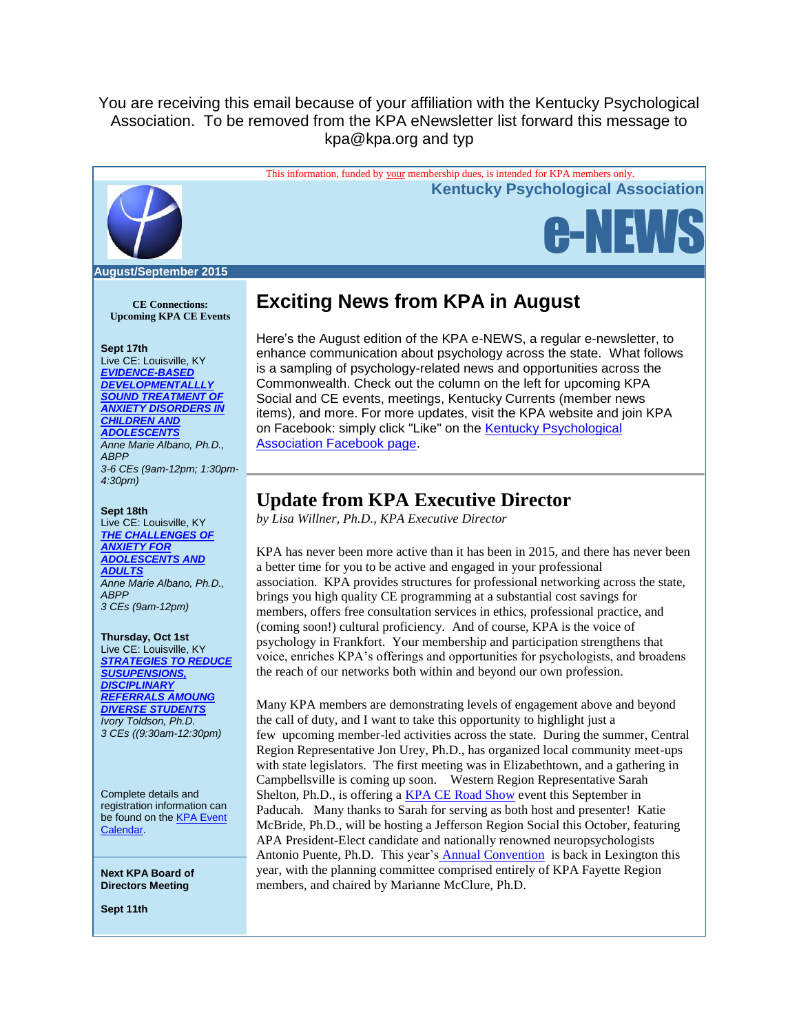## You are receiving this email because of your affiliation with the Kentucky Psychological Association. To be removed from the KPA eNewsletter list forward this message to kpa@kpa.org and typ



**CE Connections: Upcoming KPA CE Events**

### **Sept 17th**

Live CE: Louisville, KY *[EVIDENCE-BASED](http://www.kpa.org/link.asp?e=alexandra@kpa.org&job=2028571&ymlink=3983615&finalurl=http%3A%2F%2Fwww%2Ekpa%2Eorg%2Fevents%2Fevent%5Fdetails%2Easp%3Fid%3D521233%26group%3D)  [DEVELOPMENTALLLY](http://www.kpa.org/link.asp?e=alexandra@kpa.org&job=2028571&ymlink=3983615&finalurl=http%3A%2F%2Fwww%2Ekpa%2Eorg%2Fevents%2Fevent%5Fdetails%2Easp%3Fid%3D521233%26group%3D)  [SOUND TREATMENT OF](http://www.kpa.org/link.asp?e=alexandra@kpa.org&job=2028571&ymlink=3983615&finalurl=http%3A%2F%2Fwww%2Ekpa%2Eorg%2Fevents%2Fevent%5Fdetails%2Easp%3Fid%3D521233%26group%3D)  [ANXIETY DISORDERS IN](http://www.kpa.org/link.asp?e=alexandra@kpa.org&job=2028571&ymlink=3983615&finalurl=http%3A%2F%2Fwww%2Ekpa%2Eorg%2Fevents%2Fevent%5Fdetails%2Easp%3Fid%3D521233%26group%3D)  [CHILDREN AND](http://www.kpa.org/link.asp?e=alexandra@kpa.org&job=2028571&ymlink=3983615&finalurl=http%3A%2F%2Fwww%2Ekpa%2Eorg%2Fevents%2Fevent%5Fdetails%2Easp%3Fid%3D521233%26group%3D)  [ADOLESCENTS](http://www.kpa.org/link.asp?e=alexandra@kpa.org&job=2028571&ymlink=3983615&finalurl=http%3A%2F%2Fwww%2Ekpa%2Eorg%2Fevents%2Fevent%5Fdetails%2Easp%3Fid%3D521233%26group%3D) Anne Marie Albano, Ph.D., ABPP 3-6 CEs (9am-12pm; 1:30pm-4:30pm)*

#### **Sept 18th**

Live CE: Louisville, KY *[THE CHALLENGES OF](http://www.kpa.org/link.asp?e=alexandra@kpa.org&job=2028571&ymlink=3983615&finalurl=http%3A%2F%2Fkpa%2Esite%2Dym%2Ecom%2Fevents%2Fevent%5Fdetails%2Easp%3Fid%3D521233%26group%3D)  [ANXIETY FOR](http://www.kpa.org/link.asp?e=alexandra@kpa.org&job=2028571&ymlink=3983615&finalurl=http%3A%2F%2Fkpa%2Esite%2Dym%2Ecom%2Fevents%2Fevent%5Fdetails%2Easp%3Fid%3D521233%26group%3D)  [ADOLESCENTS AND](http://www.kpa.org/link.asp?e=alexandra@kpa.org&job=2028571&ymlink=3983615&finalurl=http%3A%2F%2Fkpa%2Esite%2Dym%2Ecom%2Fevents%2Fevent%5Fdetails%2Easp%3Fid%3D521233%26group%3D)  [ADULTS](http://www.kpa.org/link.asp?e=alexandra@kpa.org&job=2028571&ymlink=3983615&finalurl=http%3A%2F%2Fkpa%2Esite%2Dym%2Ecom%2Fevents%2Fevent%5Fdetails%2Easp%3Fid%3D521233%26group%3D) Anne Marie Albano, Ph.D., ABPP 3 CEs (9am-12pm)*

### **Thursday, Oct 1st**

Live CE: Louisville, KY *[STRATEGIES TO REDUCE](http://www.kpa.org/link.asp?e=alexandra@kpa.org&job=2028571&ymlink=3983615&finalurl=http%3A%2F%2Fwww%2Ekpa%2Eorg%2Fevents%2Fevent%5Fdetails%2Easp%3Fid%3D652844%26group%3D)  [SUSUPENSIONS,](http://www.kpa.org/link.asp?e=alexandra@kpa.org&job=2028571&ymlink=3983615&finalurl=http%3A%2F%2Fwww%2Ekpa%2Eorg%2Fevents%2Fevent%5Fdetails%2Easp%3Fid%3D652844%26group%3D)  [DISCIPLINARY](http://www.kpa.org/link.asp?e=alexandra@kpa.org&job=2028571&ymlink=3983615&finalurl=http%3A%2F%2Fwww%2Ekpa%2Eorg%2Fevents%2Fevent%5Fdetails%2Easp%3Fid%3D652844%26group%3D)  [REFERRALS AMOUNG](http://www.kpa.org/link.asp?e=alexandra@kpa.org&job=2028571&ymlink=3983615&finalurl=http%3A%2F%2Fwww%2Ekpa%2Eorg%2Fevents%2Fevent%5Fdetails%2Easp%3Fid%3D652844%26group%3D)  [DIVERSE STUDENTS](http://www.kpa.org/link.asp?e=alexandra@kpa.org&job=2028571&ymlink=3983615&finalurl=http%3A%2F%2Fwww%2Ekpa%2Eorg%2Fevents%2Fevent%5Fdetails%2Easp%3Fid%3D652844%26group%3D) Ivory Toldson, Ph.D. 3 CEs ((9:30am-12:30pm)*

Complete details and registration information can be found on the **KPA Event** [Calendar.](http://www.kpa.org/link.asp?e=alexandra@kpa.org&job=2028571&ymlink=3983615&finalurl=http%3A%2F%2Fwww%2Ekpa%2Eorg%2Fevents%2Fevent%5Flist%2Easp)

**Next KPA Board of Directors Meeting**

**Sept 11th**

# **Exciting News from KPA in August**

Here's the August edition of the KPA e-NEWS, a regular e-newsletter, to enhance communication about psychology across the state. What follows is a sampling of psychology-related news and opportunities across the Commonwealth. Check out the column on the left for upcoming KPA Social and CE events, meetings, Kentucky Currents (member news items), and more. For more updates, visit the KPA website and join KPA on Facebook: simply click "Like" on the [Kentucky Psychological](http://www.kpa.org/link.asp?e=alexandra@kpa.org&job=2028571&ymlink=3983615&finalurl=https%3A%2F%2Fwww%2Efacebook%2Ecom%2FKentuckyPsychAssociation%3Ffref%3Dnf)  [Association Facebook page.](http://www.kpa.org/link.asp?e=alexandra@kpa.org&job=2028571&ymlink=3983615&finalurl=https%3A%2F%2Fwww%2Efacebook%2Ecom%2FKentuckyPsychAssociation%3Ffref%3Dnf)

## **Update from KPA Executive Director**

*by Lisa Willner, Ph.D., KPA Executive Director*

KPA has never been more active than it has been in 2015, and there has never been a better time for you to be active and engaged in your professional association. KPA provides structures for professional networking across the state, brings you high quality CE programming at a substantial cost savings for members, offers free consultation services in ethics, professional practice, and (coming soon!) cultural proficiency. And of course, KPA is the voice of psychology in Frankfort. Your membership and participation strengthens that voice, enriches KPA's offerings and opportunities for psychologists, and broadens the reach of our networks both within and beyond our own profession.

Many KPA members are demonstrating levels of engagement above and beyond the call of duty, and I want to take this opportunity to highlight just a few upcoming member-led activities across the state. During the summer, Central Region Representative Jon Urey, Ph.D., has organized local community meet-ups with state legislators. The first meeting was in Elizabethtown, and a gathering in Campbellsville is coming up soon. Western Region Representative Sarah Shelton, Ph.D., is offering a [KPA CE Road Show](http://www.kpa.org/link.asp?e=alexandra@kpa.org&job=2028571&ymlink=3983615&finalurl=http%3A%2F%2Fkpa%2Esite%2Dym%2Ecom%2Fevents%2Fevent%5Fdetails%2Easp%3Fid%3D666466%26group%3D) event this September in Paducah. Many thanks to Sarah for serving as both host and presenter! Katie McBride, Ph.D., will be hosting a Jefferson Region Social this October, featuring APA President-Elect candidate and nationally renowned neuropsychologists Antonio Puente, Ph.D. This year's **[Annual Convention](http://www.kpa.org/link.asp?e=alexandra@kpa.org&job=2028571&ymlink=3983615&finalurl=https%3A%2F%2Fkpa%2Esite%2Dym%2Ecom%2F%3F2015%5FConvention)** is back in Lexington this year, with the planning committee comprised entirely of KPA Fayette Region members, and chaired by Marianne McClure, Ph.D.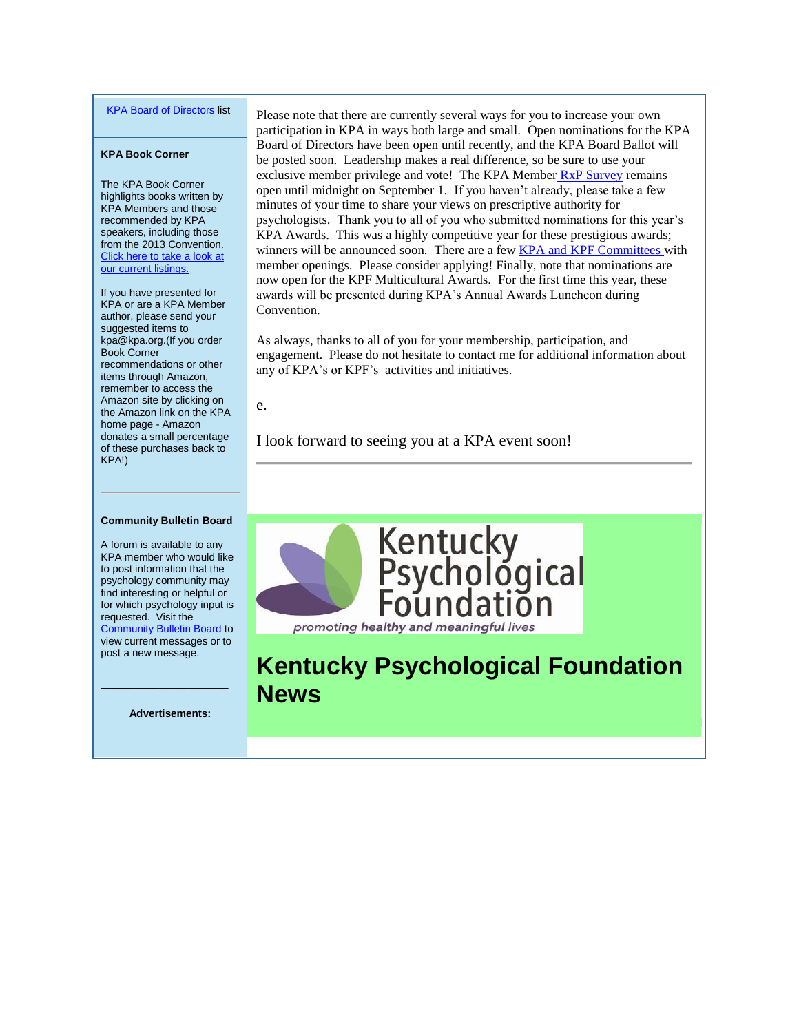### [KPA Board of Directors](http://www.kpa.org/link.asp?e=alexandra@kpa.org&job=2028571&ymlink=3983615&finalurl=http%3A%2F%2Fwww%2Ekpa%2Eorg%2F%3Fpage%3DBoardofDirectors) list

#### **KPA Book Corner**

The KPA Book Corner highlights books written by KPA Members and those recommended by KPA speakers, including those from the 2013 Convention. Click here to take a look at [our current listings.](http://www.kpa.org/link.asp?e=alexandra@kpa.org&job=2028571&ymlink=3983615&finalurl=http%3A%2F%2Fwww%2Ekpa%2Eorg%2F%3F477)

If you have presented for KPA or are a KPA Member author, please send your suggested items to kpa@kpa.org.(If you order Book Corner recommendations or other items through Amazon, remember to access the Amazon site by clicking on the Amazon link on the KPA home page - Amazon donates a small percentage of these purchases back to KPA!)

Please note that there are currently several ways for you to increase your own participation in KPA in ways both large and small. Open nominations for the KPA Board of Directors have been open until recently, and the KPA Board Ballot will be posted soon. Leadership makes a real difference, so be sure to use your exclusive member privilege and vote! The KPA Member [RxP Survey](http://www.kpa.org/link.asp?e=alexandra@kpa.org&job=2028571&ymlink=3983615&finalurl=http%3A%2F%2Fwww%2Ekpa%2Eorg%2Fdefault%2Easp%3Fpage%3DRxPSurvey) remains open until midnight on September 1. If you haven't already, please take a few minutes of your time to share your views on prescriptive authority for psychologists. Thank you to all of you who submitted nominations for this year's KPA Awards. This was a highly competitive year for these prestigious awards; winners will be announced soon. There are a few **KPA and KPF Committees** with member openings. Please consider applying! Finally, note that nominations are now open for the KPF Multicultural Awards. For the first time this year, these awards will be presented during KPA's Annual Awards Luncheon during Convention.

As always, thanks to all of you for your membership, participation, and engagement. Please do not hesitate to contact me for additional information about any of KPA's or KPF's activities and initiatives.

e.

I look forward to seeing you at a KPA event soon!



**Kentucky Psychological Foundation News**

#### **Community Bulletin Board**

A forum is available to any KPA member who would like to post information that the psychology community may find interesting or helpful or for which psychology input is requested. Visit the **[Community Bulletin Board](http://www.kpa.org/link.asp?e=alexandra@kpa.org&job=2028571&ymlink=3983615&finalurl=http%3A%2F%2Fkpa%2Esite%2Dym%2Ecom%2Fforums%2F) to** view current messages or to post a new message.

**Advertisements:**

 $\mathcal{L}_\text{max}$  and  $\mathcal{L}_\text{max}$  and  $\mathcal{L}_\text{max}$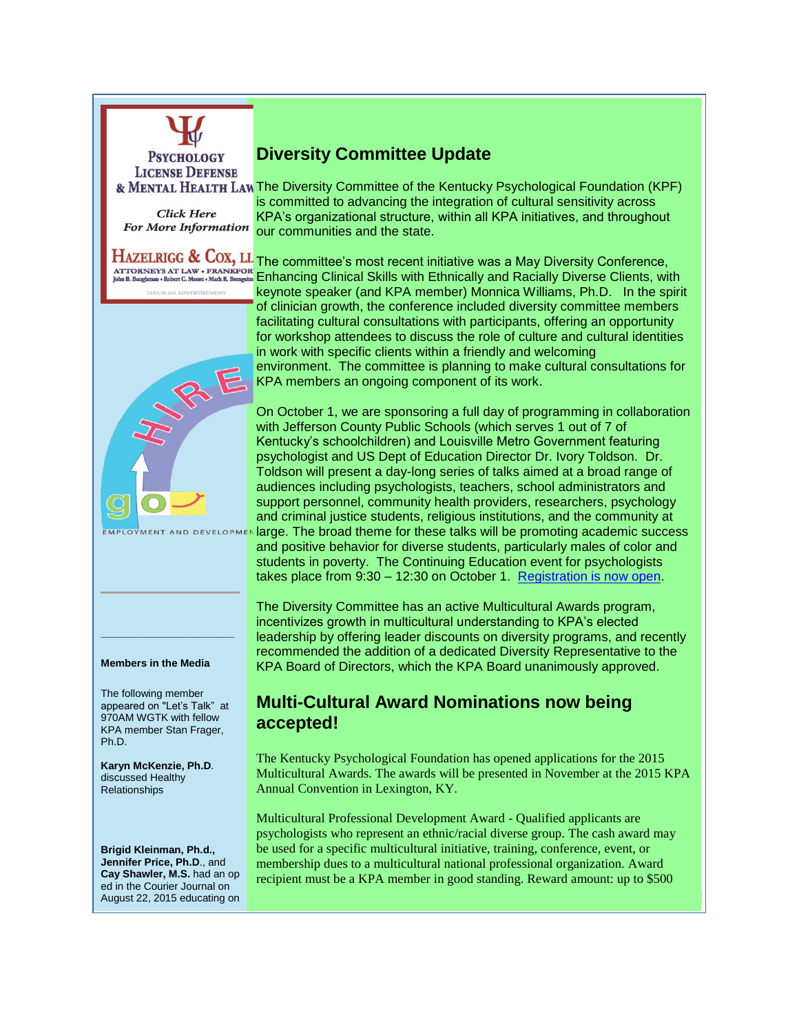

**LICENSE DEFENSE** 

**Click Here For More Information** 

& MENTAL HEALTH LAW The Diversity Committee of the Kentucky Psychological Foundation (KPF) is committed to advancing the integration of cultural sensitivity across KPA's organizational structure, within all KPA initiatives, and throughout our communities and the state.

**[Di](http://www.kpa.org/link.asp?e=alexandra@kpa.org&job=2028571&ymlink=3983615&finalurl=https%3A%2F%2Fkpa%2Esite%2Dym%2Ecom%2Fresource%2Fresmgr%2FeNews%2FAttorneyAd%2DProfessionalPsych%2Epdf)versity Committee Update**

HAZELRIGG & COX, LL The committee's most recent initiative was a May Diversity Conference, **EXAMPLE COLORED COMPANY COMPANY CONTRIGUES IN A SKILLS WITH EXAMPLE CONTRIGUES AND A SKILLS WITH A SKILLS WITH**<br>ATTORNEYS AT LAW • FRANKED ON **DEPARK DESCRIPT OF A SKILLS WITH ETHNICALLY AND RACIALLY DIVERSE Clients, with** 



keynote speaker (and KPA member) Monnica Williams, Ph.D. In the spirit of clinician growth, the conference included diversity committee members facilitating cultural consultations with participants, offering an opportunity for workshop attendees to discuss the role of culture and cultural identities in work with specific clients within a friendly and welcoming environment. The committee is planning to make cultural consultations for [KP](http://www.kpa.org/link.asp?e=alexandra@kpa.org&job=2028571&ymlink=3983615&finalurl=https%3A%2F%2Fkpa%2Esite%2Dym%2Ecom%2Fresource%2Fresmgr%2FAdvertisements%2FGo%2DHire%5FAD%2D%5FKPA%5Fadvertising%5F%2Epdf)A members an ongoing component of its work.

On October 1, we are sponsoring a full day of programming in collaboration with Jefferson County Public Schools (which serves 1 out of 7 of Kentucky's schoolchildren) and Louisville Metro Government featuring psychologist and US Dept of Education Director Dr. Ivory Toldson. Dr. Toldson will present a day-long series of talks aimed at a broad range of audiences including psychologists, teachers, school administrators and support personnel, community health providers, researchers, psychology and criminal justice students, religious institutions, and the community at **Indum** large. The broad theme for these talks will be promoting academic success

and positive behavior for diverse students, particularly males of color and students in poverty. The Continuing Education event for psychologists takes place from 9:30 – 12:30 on October 1. [Registration is now open.](http://www.kpa.org/link.asp?e=alexandra@kpa.org&job=2028571&ymlink=3983615&finalurl=http%3A%2F%2Fwww%2Ekpa%2Eorg%2Fevents%2Fevent%5Fdetails%2Easp%3Fid%3D652844%26group%3D)

The Diversity Committee has an active Multicultural Awards program, incentivizes growth in multicultural understanding to KPA's elected leadership by offering leader discounts on diversity programs, and recently recommended the addition of a dedicated Diversity Representative to the KPA Board of Directors, which the KPA Board unanimously approved.

# **Multi-Cultural Award Nominations now being accepted!**

The Kentucky Psychological Foundation has opened applications for the 2015 Multicultural Awards. The awards will be presented in November at the 2015 KPA Annual Convention in Lexington, KY.

Multicultural Professional Development Award - Qualified applicants are psychologists who represent an ethnic/racial diverse group. The cash award may be used for a specific multicultural initiative, training, conference, event, or membership dues to a multicultural national professional organization. Award recipient must be a KPA member in good standing. Reward amount: up to \$500

### **Members in the Media**

**\_\_\_\_\_\_\_\_\_\_\_\_\_\_\_\_\_\_\_\_\_\_\_** 

**EMPLOYMENT AND DEVELOPME** 

The following member appeared on "Let's Talk" at 970AM WGTK with fellow KPA member Stan Frager, Ph.D.

**Karyn McKenzie, Ph.D**. discussed Healthy Relationships

**Brigid Kleinman, Ph.d., Jennifer Price, Ph.D**., and **Cay Shawler, M.S.** had an op ed in the Courier Journal on August 22, 2015 educating on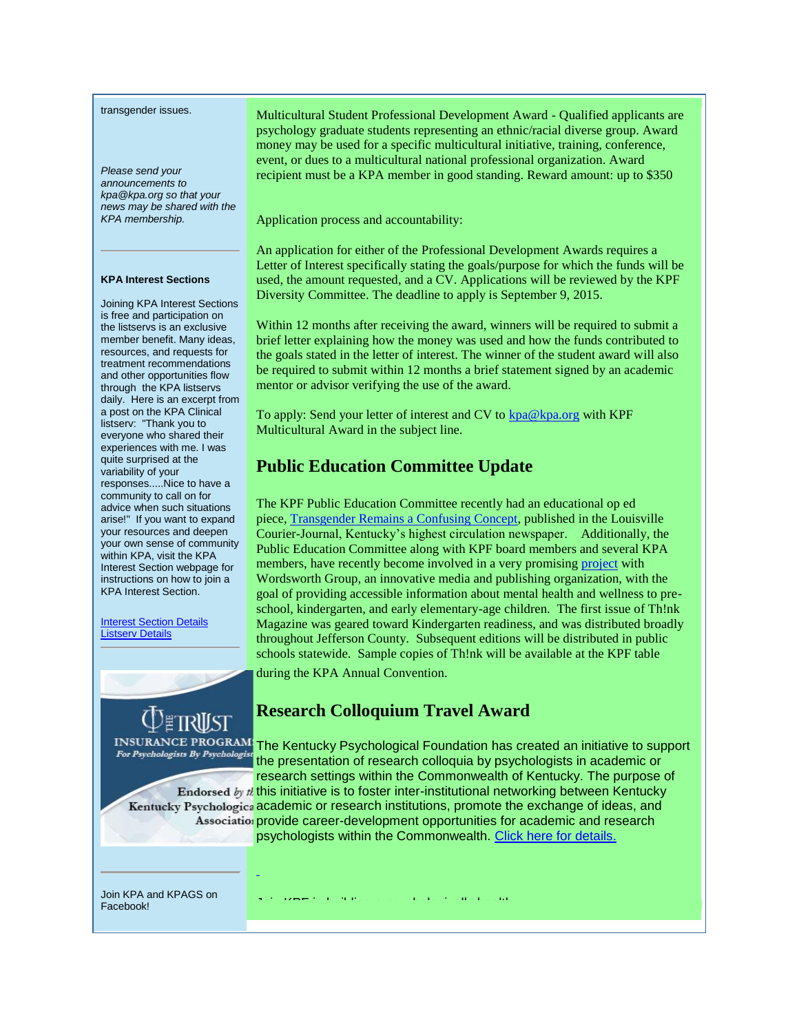transgender issues.

*Please send your announcements to kpa@kpa.org so that your news may be shared with the KPA membership.* 

### **KPA Interest Sections**

Joining KPA Interest Sections is free and participation on the listservs is an exclusive member benefit. Many ideas, resources, and requests for treatment recommendations and other opportunities flow through the KPA listservs daily. Here is an excerpt from a post on the KPA Clinical listserv: "Thank you to everyone who shared their experiences with me. I was quite surprised at the variability of your responses.....Nice to have a community to call on for advice when such situations arise!" If you want to expand your resources and deepen your own sense of community within KPA, visit the KPA Interest Section webpage for instructions on how to join a KPA Interest Section.

**Interest Section Details** [Listserv Details](http://www.kpa.org/link.asp?e=alexandra@kpa.org&job=2028571&ymlink=3983615&finalurl=https%3A%2F%2Fkpa%2Esite%2Dym%2Ecom%2F%3FKPAListservs)

Multicultural Student Professional Development Award - Qualified applicants are psychology graduate students representing an ethnic/racial diverse group. Award money may be used for a specific multicultural initiative, training, conference, event, or dues to a multicultural national professional organization. Award recipient must be a KPA member in good standing. Reward amount: up to \$350

Application process and accountability:

An application for either of the Professional Development Awards requires a Letter of Interest specifically stating the goals/purpose for which the funds will be used, the amount requested, and a CV. Applications will be reviewed by the KPF Diversity Committee. The deadline to apply is September 9, 2015.

Within 12 months after receiving the award, winners will be required to submit a brief letter explaining how the money was used and how the funds contributed to the goals stated in the letter of interest. The winner of the student award will also be required to submit within 12 months a brief statement signed by an academic mentor or advisor verifying the use of the award.

To apply: Send your letter of interest and CV to [kpa@kpa.org](mailto:kpa@kpa.org) with KPF Multicultural Award in the subject line.

## **Public Education Committee Update**

The KPF Public Education Committee recently had an educational op ed piece, [Transgender Remains a Confusing Concept,](http://www.kpa.org/link.asp?e=alexandra@kpa.org&job=2028571&ymlink=3983615&finalurl=http%3A%2F%2Fwww%2Ecourier%2Djournal%2Ecom%2Fstory%2Fopinion%2Fcontributors%2F2015%2F08%2F24%2Ftransgender%2Dremains%2Dconfusing%2Dconcept%2F31987397%2F) published in the Louisville Courier-Journal, Kentucky's highest circulation newspaper. Additionally, the Public Education Committee along with KPF board members and several KPA members, have recently become involved in a very promising [project](http://www.kpa.org/link.asp?e=alexandra@kpa.org&job=2028571&ymlink=3983615&finalurl=http%3A%2F%2Fwww%2Ebigthinky%2Ecom%2F%23%21hello%2Dtomorrow%2Fc1jw6) with Wordsworth Group, an innovative media and publishing organization, with the goal of providing accessible information about mental health and wellness to preschool, kindergarten, and early elementary-age children. The first issue of Th!nk Magazine was geared toward Kindergarten readiness, and was distributed broadly throughout Jefferson County. Subsequent editions will be distributed in public schools statewide. Sample copies of Th!nk will be available at the KPF table during the KPA Annual Convention.

## **[Re](http://www.kpa.org/link.asp?e=alexandra@kpa.org&job=2028571&ymlink=3983615&finalurl=http%3A%2F%2Fwww%2Eapait%2Eorg%2Fapait%2F)search Colloquium Travel Award**

INSURANCE PROGRAM<sup>1</sup> The Kentucky Psychological Foundation has created an initiative to support For Psychologists By Psychologist the presentation of research colloquia by psychologists in academic or research settings within the Commonwealth of Kentucky. The purpose of Endorsed  $b<sub>y</sub>$  this initiative is to foster inter-institutional networking between Kentucky Kentucky Psychologica academic or research institutions, promote the exchange of ideas, and Association provide career-development opportunities for academic and research psychologists within the Commonwealth. [Click here for details.](http://www.kpa.org/link.asp?e=alexandra@kpa.org&job=2028571&ymlink=3983615&finalurl=https%3A%2F%2Fkpa%2Esite%2Dym%2Ecom%2F%3F638)

Join KPA and KPAGS on Facebook!

Join KPF in building a psychologically healthy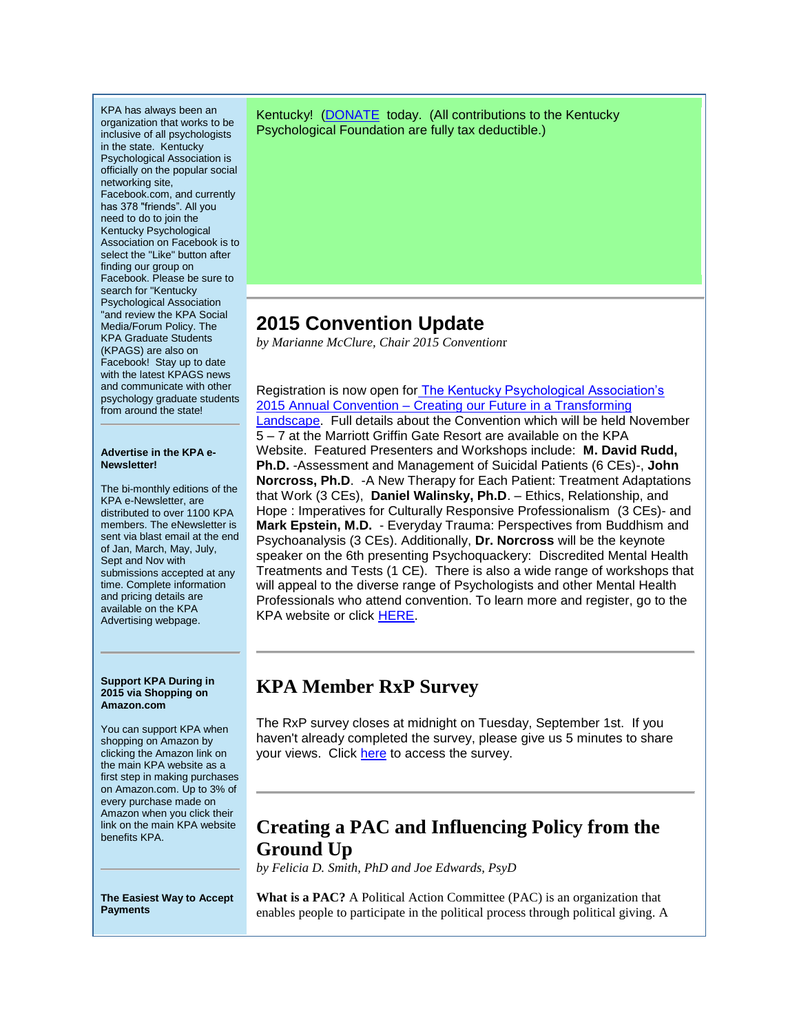KPA has always been an organization that works to be inclusive of all psychologists in the state. Kentucky Psychological Association is officially on the popular social networking site, Facebook.com, and currently has 378 "friends". All you need to do to join the Kentucky Psychological Association on Facebook is to select the "Like" button after finding our group on Facebook. Please be sure to search for "Kentucky Psychological Association "and review the KPA Social Media/Forum Policy. The KPA Graduate Students (KPAGS) are also on Facebook! Stay up to date with the latest KPAGS news and communicate with other psychology graduate students from around the state!

### **Advertise in the KPA e-Newsletter!**

The bi-monthly editions of the KPA e-Newsletter, are distributed to over 1100 KPA members. The eNewsletter is sent via blast email at the end of Jan, March, May, July, Sept and Nov with submissions accepted at any time. Complete information and pricing details are available on the KPA Advertising webpage.

### **Support KPA During in 2015 via Shopping on Amazon.com**

You can support KPA when shopping on Amazon by clicking the Amazon link on the main KPA website as a first step in making purchases on Amazon.com. Up to 3% of every purchase made on Amazon when you click their link on the main KPA website benefits KPA.

**The Easiest Way to Accept Payments**

Kentucky! [\(DONATE](http://www.kpa.org/link.asp?e=alexandra@kpa.org&job=2028571&ymlink=3983615&finalurl=http%3A%2F%2Fwww%2Ekpa%2Eorg%2Fdonations%2F) today. (All contributions to the Kentucky Psychological Foundation are fully tax deductible.)

# **2015 Convention Update**

*by Marianne McClure, Chair 2015 Convention*r

Registration is now open for [The Kentucky Psychological Association's](http://www.kpa.org/link.asp?e=alexandra@kpa.org&job=2028571&ymlink=3983615&finalurl=https%3A%2F%2Fkpa%2Esite%2Dym%2Ecom%2F%3F2015%5FConvention)  2015 Annual Convention – [Creating our Future in a Transforming](http://www.kpa.org/link.asp?e=alexandra@kpa.org&job=2028571&ymlink=3983615&finalurl=https%3A%2F%2Fkpa%2Esite%2Dym%2Ecom%2F%3F2015%5FConvention)  [Landscape.](http://www.kpa.org/link.asp?e=alexandra@kpa.org&job=2028571&ymlink=3983615&finalurl=https%3A%2F%2Fkpa%2Esite%2Dym%2Ecom%2F%3F2015%5FConvention) Full details about the Convention which will be held November 5 – 7 at the Marriott Griffin Gate Resort are available on the KPA Website. Featured Presenters and Workshops include: **M. David Rudd, Ph.D.** -Assessment and Management of Suicidal Patients (6 CEs)-, **John Norcross, Ph.D**. -A New Therapy for Each Patient: Treatment Adaptations that Work (3 CEs), **Daniel Walinsky, Ph.D**. – Ethics, Relationship, and Hope : Imperatives for Culturally Responsive Professionalism (3 CEs)- and **Mark Epstein, M.D.** - Everyday Trauma: Perspectives from Buddhism and Psychoanalysis (3 CEs). Additionally, **Dr. Norcross** will be the keynote speaker on the 6th presenting Psychoquackery: Discredited Mental Health Treatments and Tests (1 CE). There is also a wide range of workshops that will appeal to the diverse range of Psychologists and other Mental Health Professionals who attend convention. To learn more and register, go to the KPA website or click [HERE.](http://www.kpa.org/link.asp?e=alexandra@kpa.org&job=2028571&ymlink=3983615&finalurl=https%3A%2F%2Fkpa%2Esite%2Dym%2Ecom%2F%3F2015%5FConvention)

# **KPA Member RxP Survey**

The RxP survey closes at midnight on Tuesday, September 1st. If you haven't already completed the survey, please give us 5 minutes to share your views. Click [here](http://www.kpa.org/link.asp?e=alexandra@kpa.org&job=2028571&ymlink=3983615&finalurl=http%3A%2F%2Fwww%2Ekpa%2Eorg%2F%3Fpage%3DRxPSurvey) to access the survey.

# **Creating a PAC and Influencing Policy from the Ground Up**

*by Felicia D. Smith, PhD and Joe Edwards, PsyD*

**What is a PAC?** A Political Action Committee (PAC) is an organization that enables people to participate in the political process through political giving. A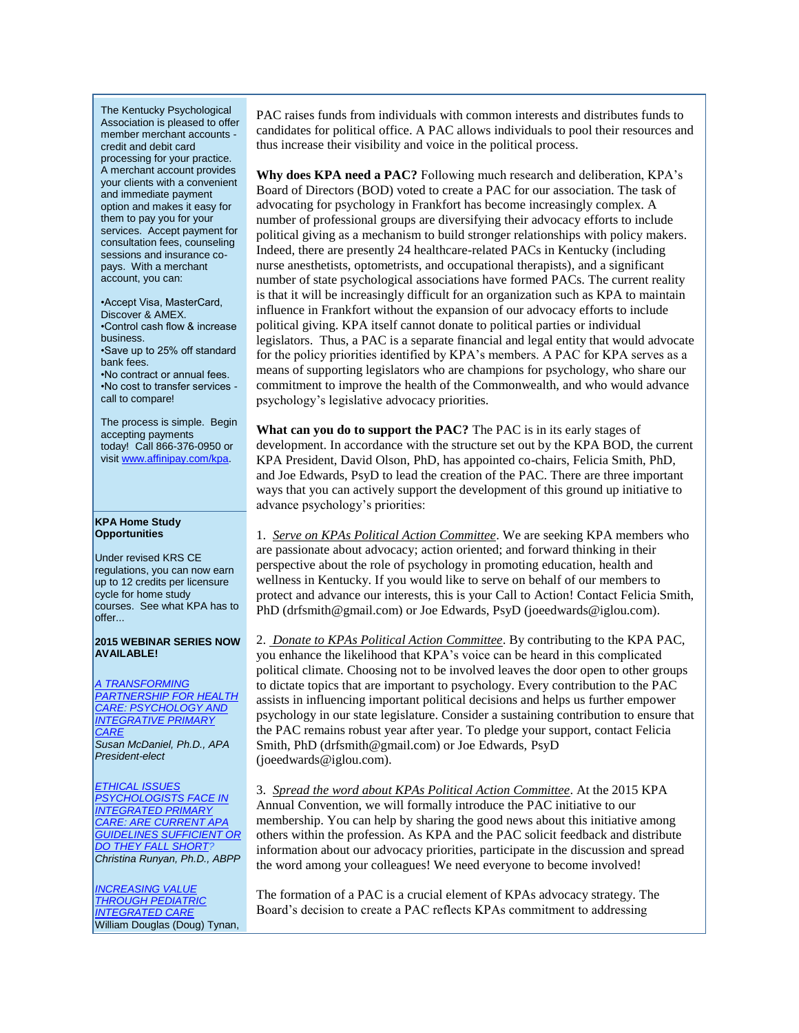The Kentucky Psychological Association is pleased to offer member merchant accounts credit and debit card processing for your practice. A merchant account provides your clients with a convenient and immediate payment option and makes it easy for them to pay you for your services. Accept payment for consultation fees, counseling sessions and insurance copays. With a merchant account, you can:

•Accept Visa, MasterCard, Discover & AMEX. •Control cash flow & increase business. •Save up to 25% off standard bank fees. •No contract or annual fees. •No cost to transfer services call to compare!

The process is simple. Begin accepting payments today! Call 866-376-0950 or visi[t www.affinipay.com/kpa.](http://www.kpa.org/link.asp?e=alexandra@kpa.org&job=2028571&ymlink=3983615&finalurl=http%3A%2F%2Fwww%2Eaffinipay%2Ecom%2Fkpa)

### **KPA Home Study Opportunities**

Under revised KRS CE regulations, you can now earn up to 12 credits per licensure cycle for home study courses. See what KPA has to offer...

### **2015 WEBINAR SERIES NOW AVAILABLE!**

*[A TRANSFORMING](http://www.kpa.org/link.asp?e=alexandra@kpa.org&job=2028571&ymlink=3983615&finalurl=https%3A%2F%2Fkpa%2Esite%2Dym%2Ecom%2Fstore%2FViewProduct%2Easpx%3Fid%3D4111200)  [PARTNERSHIP FOR HEALTH](http://www.kpa.org/link.asp?e=alexandra@kpa.org&job=2028571&ymlink=3983615&finalurl=https%3A%2F%2Fkpa%2Esite%2Dym%2Ecom%2Fstore%2FViewProduct%2Easpx%3Fid%3D4111200)  [CARE: PSYCHOLOGY AND](http://www.kpa.org/link.asp?e=alexandra@kpa.org&job=2028571&ymlink=3983615&finalurl=https%3A%2F%2Fkpa%2Esite%2Dym%2Ecom%2Fstore%2FViewProduct%2Easpx%3Fid%3D4111200)  [INTEGRATIVE PRIMARY](http://www.kpa.org/link.asp?e=alexandra@kpa.org&job=2028571&ymlink=3983615&finalurl=https%3A%2F%2Fkpa%2Esite%2Dym%2Ecom%2Fstore%2FViewProduct%2Easpx%3Fid%3D4111200)  [CARE](http://www.kpa.org/link.asp?e=alexandra@kpa.org&job=2028571&ymlink=3983615&finalurl=https%3A%2F%2Fkpa%2Esite%2Dym%2Ecom%2Fstore%2FViewProduct%2Easpx%3Fid%3D4111200) Susan McDaniel, Ph.D., APA President-elect*

*[ETHICAL ISSUES](http://www.kpa.org/link.asp?e=alexandra@kpa.org&job=2028571&ymlink=3983615&finalurl=https%3A%2F%2Fkpa%2Esite%2Dym%2Ecom%2Fstore%2FViewProduct%2Easpx%3Fid%3D4111200)  [PSYCHOLOGISTS FACE IN](http://www.kpa.org/link.asp?e=alexandra@kpa.org&job=2028571&ymlink=3983615&finalurl=https%3A%2F%2Fkpa%2Esite%2Dym%2Ecom%2Fstore%2FViewProduct%2Easpx%3Fid%3D4111200)  [INTEGRATED PRIMARY](http://www.kpa.org/link.asp?e=alexandra@kpa.org&job=2028571&ymlink=3983615&finalurl=https%3A%2F%2Fkpa%2Esite%2Dym%2Ecom%2Fstore%2FViewProduct%2Easpx%3Fid%3D4111200)  [CARE: ARE CURRENT APA](http://www.kpa.org/link.asp?e=alexandra@kpa.org&job=2028571&ymlink=3983615&finalurl=https%3A%2F%2Fkpa%2Esite%2Dym%2Ecom%2Fstore%2FViewProduct%2Easpx%3Fid%3D4111200)  [GUIDELINES SUFFICIENT OR](http://www.kpa.org/link.asp?e=alexandra@kpa.org&job=2028571&ymlink=3983615&finalurl=https%3A%2F%2Fkpa%2Esite%2Dym%2Ecom%2Fstore%2FViewProduct%2Easpx%3Fid%3D4111200)  [DO THEY FALL SHORT?](http://www.kpa.org/link.asp?e=alexandra@kpa.org&job=2028571&ymlink=3983615&finalurl=https%3A%2F%2Fkpa%2Esite%2Dym%2Ecom%2Fstore%2FViewProduct%2Easpx%3Fid%3D4111200) Christina Runyan, Ph.D., ABPP*

**INCREASING VALUE** *[THROUGH PEDIATRIC](http://www.kpa.org/link.asp?e=alexandra@kpa.org&job=2028571&ymlink=3983615&finalurl=https%3A%2F%2Fkpa%2Esite%2Dym%2Ecom%2Fstore%2FViewProduct%2Easpx%3Fid%3D4429455)  [INTEGRATED CARE](http://www.kpa.org/link.asp?e=alexandra@kpa.org&job=2028571&ymlink=3983615&finalurl=https%3A%2F%2Fkpa%2Esite%2Dym%2Ecom%2Fstore%2FViewProduct%2Easpx%3Fid%3D4429455)* William Douglas (Doug) Tynan, PAC raises funds from individuals with common interests and distributes funds to candidates for political office. A PAC allows individuals to pool their resources and thus increase their visibility and voice in the political process.

**Why does KPA need a PAC?** Following much research and deliberation, KPA's Board of Directors (BOD) voted to create a PAC for our association. The task of advocating for psychology in Frankfort has become increasingly complex. A number of professional groups are diversifying their advocacy efforts to include political giving as a mechanism to build stronger relationships with policy makers. Indeed, there are presently 24 healthcare-related PACs in Kentucky (including nurse anesthetists, optometrists, and occupational therapists), and a significant number of state psychological associations have formed PACs. The current reality is that it will be increasingly difficult for an organization such as KPA to maintain influence in Frankfort without the expansion of our advocacy efforts to include political giving. KPA itself cannot donate to political parties or individual legislators. Thus, a PAC is a separate financial and legal entity that would advocate for the policy priorities identified by KPA's members. A PAC for KPA serves as a means of supporting legislators who are champions for psychology, who share our commitment to improve the health of the Commonwealth, and who would advance psychology's legislative advocacy priorities.

**What can you do to support the PAC?** The PAC is in its early stages of development. In accordance with the structure set out by the KPA BOD, the current KPA President, David Olson, PhD, has appointed co-chairs, Felicia Smith, PhD, and Joe Edwards, PsyD to lead the creation of the PAC. There are three important ways that you can actively support the development of this ground up initiative to advance psychology's priorities:

1. *Serve on KPAs Political Action Committee*. We are seeking KPA members who are passionate about advocacy; action oriented; and forward thinking in their perspective about the role of psychology in promoting education, health and wellness in Kentucky. If you would like to serve on behalf of our members to protect and advance our interests, this is your Call to Action! Contact Felicia Smith, PhD (drfsmith@gmail.com) or Joe Edwards, PsyD (joeedwards@iglou.com).

2. *Donate to KPAs Political Action Committee*. By contributing to the KPA PAC, you enhance the likelihood that KPA's voice can be heard in this complicated political climate. Choosing not to be involved leaves the door open to other groups to dictate topics that are important to psychology. Every contribution to the PAC assists in influencing important political decisions and helps us further empower psychology in our state legislature. Consider a sustaining contribution to ensure that the PAC remains robust year after year. To pledge your support, contact Felicia Smith, PhD (drfsmith@gmail.com) or Joe Edwards, PsyD (joeedwards@iglou.com).

3. *Spread the word about KPAs Political Action Committee*. At the 2015 KPA Annual Convention, we will formally introduce the PAC initiative to our membership. You can help by sharing the good news about this initiative among others within the profession. As KPA and the PAC solicit feedback and distribute information about our advocacy priorities, participate in the discussion and spread the word among your colleagues! We need everyone to become involved!

The formation of a PAC is a crucial element of KPAs advocacy strategy. The Board's decision to create a PAC reflects KPAs commitment to addressing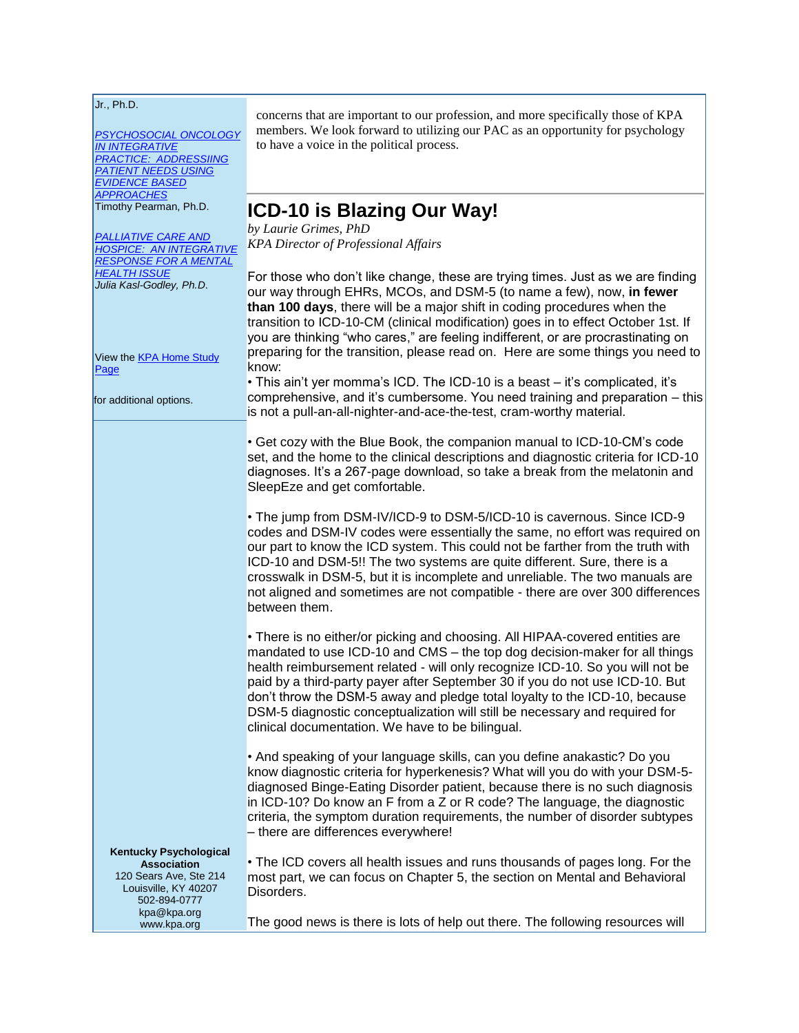| Jr., Ph.D.<br>PSYCHOSOCIAL ONCOLOGY<br><b>IN INTEGRATIVE</b><br><b>PRACTICE: ADDRESSIING</b><br><b>PATIENT NEEDS USING</b><br><b>EVIDENCE BASED</b> | concerns that are important to our profession, and more specifically those of KPA<br>members. We look forward to utilizing our PAC as an opportunity for psychology<br>to have a voice in the political process.                                                                                                                                                                                                                                                                                                                             |
|-----------------------------------------------------------------------------------------------------------------------------------------------------|----------------------------------------------------------------------------------------------------------------------------------------------------------------------------------------------------------------------------------------------------------------------------------------------------------------------------------------------------------------------------------------------------------------------------------------------------------------------------------------------------------------------------------------------|
|                                                                                                                                                     |                                                                                                                                                                                                                                                                                                                                                                                                                                                                                                                                              |
| <b>APPROACHES</b><br>Timothy Pearman, Ph.D.                                                                                                         | ICD-10 is Blazing Our Way!                                                                                                                                                                                                                                                                                                                                                                                                                                                                                                                   |
|                                                                                                                                                     | by Laurie Grimes, PhD                                                                                                                                                                                                                                                                                                                                                                                                                                                                                                                        |
| <b>PALLIATIVE CARE AND</b><br><b>HOSPICE: AN INTEGRATIVE</b><br><b>RESPONSE FOR A MENTAL</b>                                                        | <b>KPA Director of Professional Affairs</b>                                                                                                                                                                                                                                                                                                                                                                                                                                                                                                  |
| <b>HEALTH ISSUE</b><br>Julia Kasl-Godley, Ph.D.                                                                                                     | For those who don't like change, these are trying times. Just as we are finding<br>our way through EHRs, MCOs, and DSM-5 (to name a few), now, in fewer<br>than 100 days, there will be a major shift in coding procedures when the<br>transition to ICD-10-CM (clinical modification) goes in to effect October 1st. If<br>you are thinking "who cares," are feeling indifferent, or are procrastinating on                                                                                                                                 |
| View the <b>KPA Home Study</b><br>Page                                                                                                              | preparing for the transition, please read on. Here are some things you need to<br>know:                                                                                                                                                                                                                                                                                                                                                                                                                                                      |
| for additional options.                                                                                                                             | • This ain't yer momma's ICD. The ICD-10 is a beast - it's complicated, it's<br>comprehensive, and it's cumbersome. You need training and preparation - this<br>is not a pull-an-all-nighter-and-ace-the-test, cram-worthy material.                                                                                                                                                                                                                                                                                                         |
|                                                                                                                                                     | • Get cozy with the Blue Book, the companion manual to ICD-10-CM's code<br>set, and the home to the clinical descriptions and diagnostic criteria for ICD-10<br>diagnoses. It's a 267-page download, so take a break from the melatonin and<br>SleepEze and get comfortable.                                                                                                                                                                                                                                                                 |
|                                                                                                                                                     | • The jump from DSM-IV/ICD-9 to DSM-5/ICD-10 is cavernous. Since ICD-9<br>codes and DSM-IV codes were essentially the same, no effort was required on<br>our part to know the ICD system. This could not be farther from the truth with<br>ICD-10 and DSM-5!! The two systems are quite different. Sure, there is a<br>crosswalk in DSM-5, but it is incomplete and unreliable. The two manuals are<br>not aligned and sometimes are not compatible - there are over 300 differences<br>between them.                                        |
|                                                                                                                                                     | • There is no either/or picking and choosing. All HIPAA-covered entities are<br>mandated to use ICD-10 and CMS – the top dog decision-maker for all things<br>health reimbursement related - will only recognize ICD-10. So you will not be<br>paid by a third-party payer after September 30 if you do not use ICD-10. But<br>don't throw the DSM-5 away and pledge total loyalty to the ICD-10, because<br>DSM-5 diagnostic conceptualization will still be necessary and required for<br>clinical documentation. We have to be bilingual. |
|                                                                                                                                                     | • And speaking of your language skills, can you define anakastic? Do you<br>know diagnostic criteria for hyperkenesis? What will you do with your DSM-5-<br>diagnosed Binge-Eating Disorder patient, because there is no such diagnosis<br>in ICD-10? Do know an F from a Z or R code? The language, the diagnostic<br>criteria, the symptom duration requirements, the number of disorder subtypes<br>- there are differences everywhere!                                                                                                   |
| <b>Kentucky Psychological</b><br><b>Association</b><br>120 Sears Ave, Ste 214<br>Louisville, KY 40207                                               | • The ICD covers all health issues and runs thousands of pages long. For the<br>most part, we can focus on Chapter 5, the section on Mental and Behavioral<br>Disorders.                                                                                                                                                                                                                                                                                                                                                                     |
| 502-894-0777<br>kpa@kpa.org<br>www.kpa.org                                                                                                          | The good news is there is lots of help out there. The following resources will                                                                                                                                                                                                                                                                                                                                                                                                                                                               |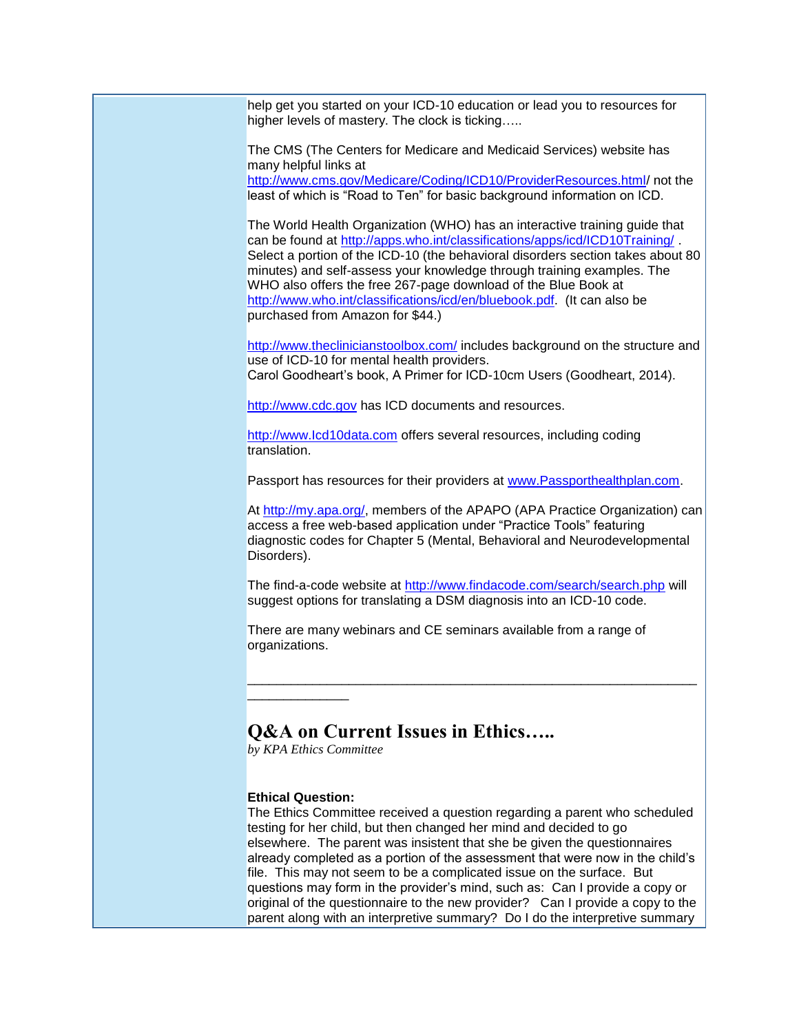help get you started on your ICD-10 education or lead you to resources for higher levels of mastery. The clock is ticking.....

The CMS (The Centers for Medicare and Medicaid Services) website has many helpful links at [http://www.cms.gov/Medicare/Coding/ICD10/ProviderResources.html/](http://www.kpa.org/link.asp?e=alexandra@kpa.org&job=2028571&ymlink=3983615&finalurl=http%3A%2F%2Fwww%2Ecms%2Egov%2FMedicare%2FCoding%2FICD10%2FProviderResources%2Ehtml%2C) not the

least of which is "Road to Ten" for basic background information on ICD.

The World Health Organization (WHO) has an interactive training guide that can be found at [http://apps.who.int/classifications/apps/icd/ICD10Training/](http://www.kpa.org/link.asp?e=alexandra@kpa.org&job=2028571&ymlink=3983615&finalurl=http%3A%2F%2Fapps%2Ewho%2Eint%2Fclassifications%2Fapps%2Ficd%2FICD10Training%2F). Select a portion of the ICD-10 (the behavioral disorders section takes about 80 minutes) and self-assess your knowledge through training examples. The WHO also offers the free 267-page download of the Blue Book at [http://www.who.int/classifications/icd/en/bluebook.pdf.](http://www.kpa.org/link.asp?e=alexandra@kpa.org&job=2028571&ymlink=3983615&finalurl=http%3A%2F%2Fwww%2Ewho%2Eint%2Fclassifications%2Ficd%2Fen%2Fbluebook%2Epdf) (It can also be purchased from Amazon for \$44.)

[http://www.theclinicianstoolbox.com/](http://www.kpa.org/link.asp?e=alexandra@kpa.org&job=2028571&ymlink=3983615&finalurl=http%3A%2F%2Fwww%2Etheclinicianstoolbox%2Ecom%2F) includes background on the structure and use of ICD-10 for mental health providers. Carol Goodheart's book, A Primer for ICD-10cm Users (Goodheart, 2014).

[http://www.cdc.gov](http://www.kpa.org/link.asp?e=alexandra@kpa.org&job=2028571&ymlink=3983615&finalurl=http%3A%2F%2Fwww%2Ecdc%2Egov) has ICD documents and resources.

http://www.lcd10data.com offers several resources, including coding translation.

Passport has resources for their providers at [www.Passporthealthplan.com.](https://email21.secureserver.net/www.Passporthealthplan.com)

At [http://my.apa.org/,](http://www.kpa.org/link.asp?e=alexandra@kpa.org&job=2028571&ymlink=3983615&finalurl=http%3A%2F%2Fmy%2Eapa%2Eorg%2F) members of the APAPO (APA Practice Organization) can access a free web-based application under "Practice Tools" featuring diagnostic codes for Chapter 5 (Mental, Behavioral and Neurodevelopmental Disorders).

The find-a-code website at [http://www.findacode.com/search/search.php](http://www.kpa.org/link.asp?e=alexandra@kpa.org&job=2028571&ymlink=3983615&finalurl=http%3A%2F%2Fwww%2Efindacode%2Ecom%2Fsearch%2Fsearch%2Ephp) will suggest options for translating a DSM diagnosis into an ICD-10 code.

\_\_\_\_\_\_\_\_\_\_\_\_\_\_\_\_\_\_\_\_\_\_\_\_\_\_\_\_\_\_\_\_\_\_\_\_\_\_\_\_\_\_\_\_\_\_\_\_\_\_\_\_\_\_\_\_\_\_\_\_\_\_

There are many webinars and CE seminars available from a range of organizations.

# **Q&A on Current Issues in Ethics…..**

*by KPA Ethics Committee*

## **Ethical Question:**

\_\_\_\_\_\_\_\_\_\_\_\_\_\_

The Ethics Committee received a question regarding a parent who scheduled testing for her child, but then changed her mind and decided to go elsewhere. The parent was insistent that she be given the questionnaires already completed as a portion of the assessment that were now in the child's file. This may not seem to be a complicated issue on the surface. But questions may form in the provider's mind, such as: Can I provide a copy or original of the questionnaire to the new provider? Can I provide a copy to the parent along with an interpretive summary? Do I do the interpretive summary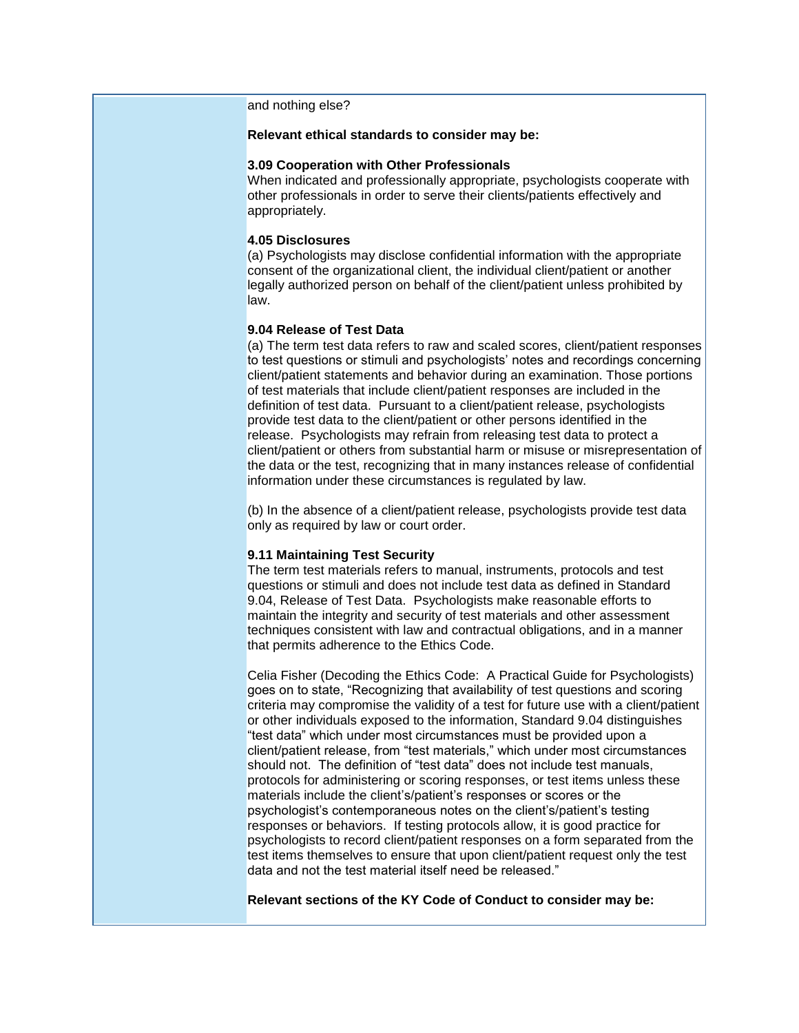and nothing else?

### **Relevant ethical standards to consider may be:**

### **3.09 Cooperation with Other Professionals**

When indicated and professionally appropriate, psychologists cooperate with other professionals in order to serve their clients/patients effectively and appropriately.

### **4.05 Disclosures**

(a) Psychologists may disclose confidential information with the appropriate consent of the organizational client, the individual client/patient or another legally authorized person on behalf of the client/patient unless prohibited by law.

## **9.04 Release of Test Data**

(a) The term test data refers to raw and scaled scores, client/patient responses to test questions or stimuli and psychologists' notes and recordings concerning client/patient statements and behavior during an examination. Those portions of test materials that include client/patient responses are included in the definition of test data. Pursuant to a client/patient release, psychologists provide test data to the client/patient or other persons identified in the release. Psychologists may refrain from releasing test data to protect a client/patient or others from substantial harm or misuse or misrepresentation of the data or the test, recognizing that in many instances release of confidential information under these circumstances is regulated by law.

(b) In the absence of a client/patient release, psychologists provide test data only as required by law or court order.

### **9.11 Maintaining Test Security**

The term test materials refers to manual, instruments, protocols and test questions or stimuli and does not include test data as defined in Standard 9.04, Release of Test Data. Psychologists make reasonable efforts to maintain the integrity and security of test materials and other assessment techniques consistent with law and contractual obligations, and in a manner that permits adherence to the Ethics Code.

Celia Fisher (Decoding the Ethics Code: A Practical Guide for Psychologists) goes on to state, "Recognizing that availability of test questions and scoring criteria may compromise the validity of a test for future use with a client/patient or other individuals exposed to the information, Standard 9.04 distinguishes "test data" which under most circumstances must be provided upon a client/patient release, from "test materials," which under most circumstances should not. The definition of "test data" does not include test manuals, protocols for administering or scoring responses, or test items unless these materials include the client's/patient's responses or scores or the psychologist's contemporaneous notes on the client's/patient's testing responses or behaviors. If testing protocols allow, it is good practice for psychologists to record client/patient responses on a form separated from the test items themselves to ensure that upon client/patient request only the test data and not the test material itself need be released."

**Relevant sections of the KY Code of Conduct to consider may be:**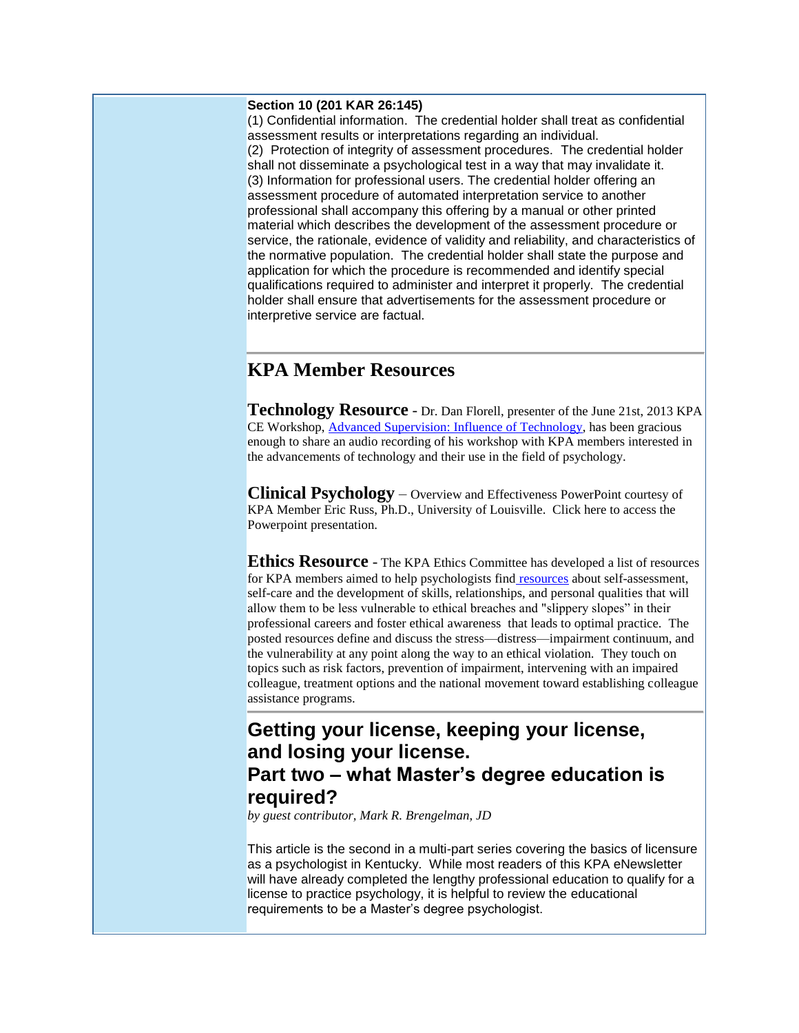## **Section 10 (201 KAR 26:145)**

(1) Confidential information. The credential holder shall treat as confidential assessment results or interpretations regarding an individual. (2) Protection of integrity of assessment procedures. The credential holder shall not disseminate a psychological test in a way that may invalidate it. (3) Information for professional users. The credential holder offering an assessment procedure of automated interpretation service to another professional shall accompany this offering by a manual or other printed material which describes the development of the assessment procedure or service, the rationale, evidence of validity and reliability, and characteristics of the normative population. The credential holder shall state the purpose and application for which the procedure is recommended and identify special qualifications required to administer and interpret it properly. The credential holder shall ensure that advertisements for the assessment procedure or interpretive service are factual.

# **KPA Member Resources**

**Technology Resource** - Dr. Dan Florell, presenter of the June 21st, 2013 KPA CE Workshop[, Advanced Supervision: Influence of Technology,](http://www.kpa.org/link.asp?e=alexandra@kpa.org&job=2028571&ymlink=3983615&finalurl=http%3A%2F%2Fwww%2Ekpa%2Eorg%2Fgeneral%2Fcustom%2Easp%3Fpage%3D680) has been gracious enough to share an audio recording of his workshop with KPA members interested in the advancements of technology and their use in the field of psychology.

**Clinical Psychology** – Overview and Effectiveness PowerPoint courtesy of KPA Member Eric Russ, Ph.D., University of Louisville. Click here to access the Powerpoint presentation.

**Ethics Resource** - The KPA Ethics Committee has developed a list of resources for KPA members aimed to help psychologists find [resources](http://www.kpa.org/link.asp?e=alexandra@kpa.org&job=2028571&ymlink=3983615&finalurl=http%3A%2F%2Fkpa%2Esite%2Dym%2Ecom%2F%3Fpage%3D19%26hhSearchTerms%3D%2522resources%2522%23Ethics) about self-assessment, self-care and the development of skills, relationships, and personal qualities that will allow them to be less vulnerable to ethical breaches and "slippery slopes" in their professional careers and foster ethical awareness that leads to optimal practice. The posted resources define and discuss the stress—distress—impairment continuum, and the vulnerability at any point along the way to an ethical violation. They touch on topics such as risk factors, prevention of impairment, intervening with an impaired colleague, treatment options and the national movement toward establishing colleague assistance programs.

# **Getting your license, keeping your license, and losing your license. Part two – what Master's degree education is required?**

*by guest contributor, Mark R. Brengelman, JD*

This article is the second in a multi-part series covering the basics of licensure as a psychologist in Kentucky. While most readers of this KPA eNewsletter will have already completed the lengthy professional education to qualify for a license to practice psychology, it is helpful to review the educational requirements to be a Master's degree psychologist.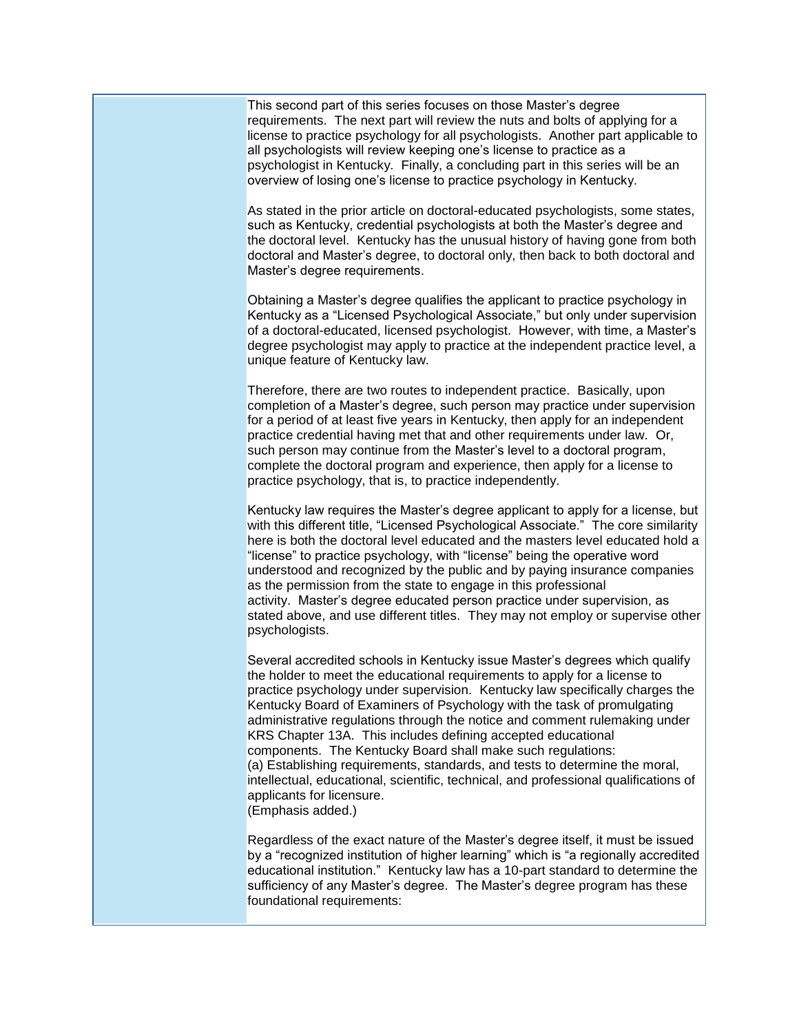This second part of this series focuses on those Master's degree requirements. The next part will review the nuts and bolts of applying for a license to practice psychology for all psychologists. Another part applicable to all psychologists will review keeping one's license to practice as a psychologist in Kentucky. Finally, a concluding part in this series will be an overview of losing one's license to practice psychology in Kentucky.

As stated in the prior article on doctoral-educated psychologists, some states, such as Kentucky, credential psychologists at both the Master's degree and the doctoral level. Kentucky has the unusual history of having gone from both doctoral and Master's degree, to doctoral only, then back to both doctoral and Master's degree requirements.

Obtaining a Master's degree qualifies the applicant to practice psychology in Kentucky as a "Licensed Psychological Associate," but only under supervision of a doctoral-educated, licensed psychologist. However, with time, a Master's degree psychologist may apply to practice at the independent practice level, a unique feature of Kentucky law.

Therefore, there are two routes to independent practice. Basically, upon completion of a Master's degree, such person may practice under supervision for a period of at least five years in Kentucky, then apply for an independent practice credential having met that and other requirements under law. Or, such person may continue from the Master's level to a doctoral program, complete the doctoral program and experience, then apply for a license to practice psychology, that is, to practice independently.

Kentucky law requires the Master's degree applicant to apply for a license, but with this different title, "Licensed Psychological Associate." The core similarity here is both the doctoral level educated and the masters level educated hold a "license" to practice psychology, with "license" being the operative word understood and recognized by the public and by paying insurance companies as the permission from the state to engage in this professional activity. Master's degree educated person practice under supervision, as stated above, and use different titles. They may not employ or supervise other psychologists.

Several accredited schools in Kentucky issue Master's degrees which qualify the holder to meet the educational requirements to apply for a license to practice psychology under supervision. Kentucky law specifically charges the Kentucky Board of Examiners of Psychology with the task of promulgating administrative regulations through the notice and comment rulemaking under KRS Chapter 13A. This includes defining accepted educational components. The Kentucky Board shall make such regulations: (a) Establishing requirements, standards, and tests to determine the moral, intellectual, educational, scientific, technical, and professional qualifications of applicants for licensure. (Emphasis added.)

Regardless of the exact nature of the Master's degree itself, it must be issued by a "recognized institution of higher learning" which is "a regionally accredited educational institution." Kentucky law has a 10-part standard to determine the sufficiency of any Master's degree. The Master's degree program has these foundational requirements: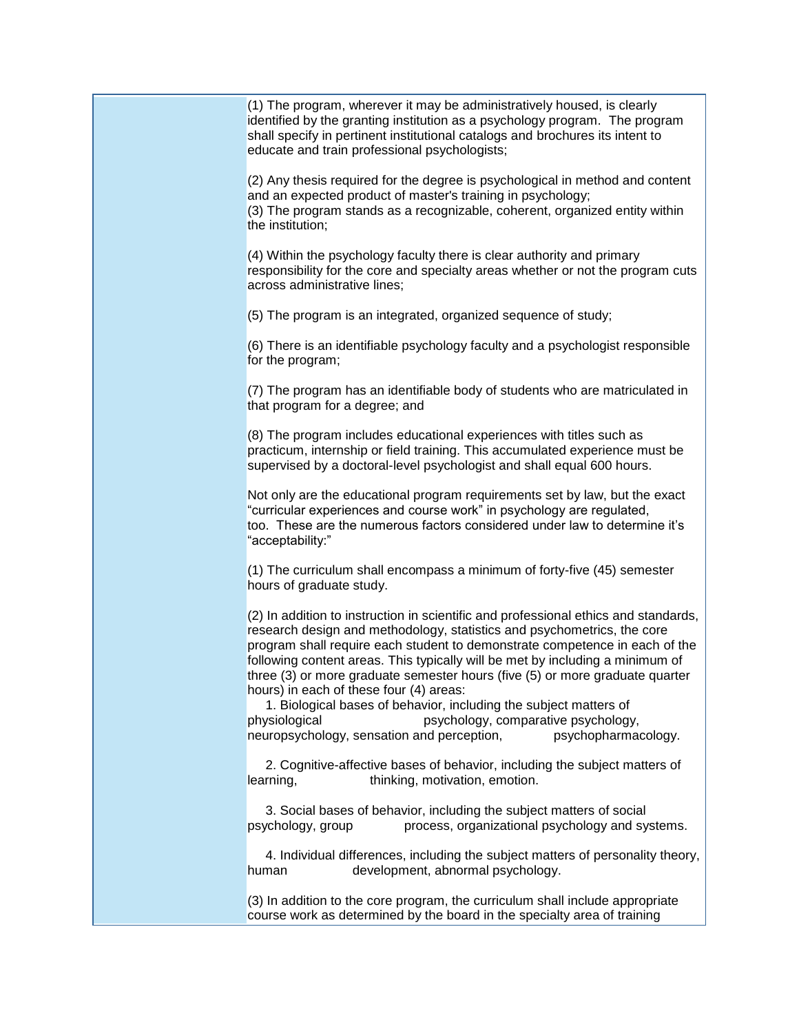(1) The program, wherever it may be administratively housed, is clearly identified by the granting institution as a psychology program. The program shall specify in pertinent institutional catalogs and brochures its intent to educate and train professional psychologists;

(2) Any thesis required for the degree is psychological in method and content and an expected product of master's training in psychology; (3) The program stands as a recognizable, coherent, organized entity within the institution;

(4) Within the psychology faculty there is clear authority and primary responsibility for the core and specialty areas whether or not the program cuts across administrative lines;

(5) The program is an integrated, organized sequence of study;

(6) There is an identifiable psychology faculty and a psychologist responsible for the program;

(7) The program has an identifiable body of students who are matriculated in that program for a degree; and

(8) The program includes educational experiences with titles such as practicum, internship or field training. This accumulated experience must be supervised by a doctoral-level psychologist and shall equal 600 hours.

Not only are the educational program requirements set by law, but the exact "curricular experiences and course work" in psychology are regulated, too. These are the numerous factors considered under law to determine it's "acceptability:"

(1) The curriculum shall encompass a minimum of forty-five (45) semester hours of graduate study.

(2) In addition to instruction in scientific and professional ethics and standards, research design and methodology, statistics and psychometrics, the core program shall require each student to demonstrate competence in each of the following content areas. This typically will be met by including a minimum of three (3) or more graduate semester hours (five (5) or more graduate quarter hours) in each of these four (4) areas:

1. Biological bases of behavior, including the subject matters of physiological psychology, comparative psychology, neuropsychology, sensation and perception, psychopharmacology.

2. Cognitive-affective bases of behavior, including the subject matters of learning, thinking, motivation, emotion.

3. Social bases of behavior, including the subject matters of social psychology, group process, organizational psychology and systems.

4. Individual differences, including the subject matters of personality theory, human development, abnormal psychology.

(3) In addition to the core program, the curriculum shall include appropriate course work as determined by the board in the specialty area of training